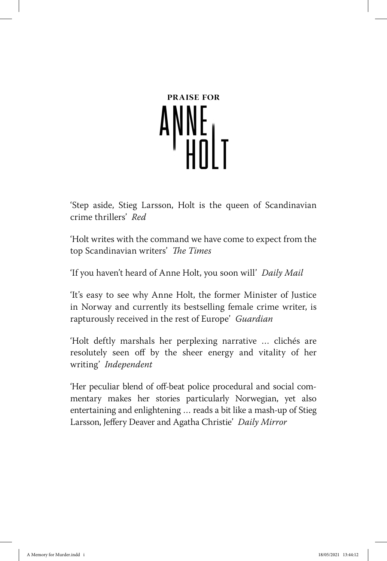## **Praise for**

'Step aside, Stieg Larsson, Holt is the queen of Scandinavian crime thrillers' *Red*

'Holt writes with the command we have come to expect from the top Scandinavian writers' *The Times* 

'If you haven't heard of Anne Holt, you soon will' *Daily Mail*

'It's easy to see why Anne Holt, the former Minister of Justice in Norway and currently its bestselling female crime writer, is rapturously received in the rest of Europe' *Guardian*

'Holt deftly marshals her perplexing narrative … clichés are resolutely seen off by the sheer energy and vitality of her writing' *Independent*

'Her peculiar blend of off -beat police procedural and social commentary makes her stories particularly Norwegian, yet also entertaining and enlightening … reads a bit like a mash-up of Stieg Larsson, Jeffery Deaver and Agatha Christie' Daily Mirror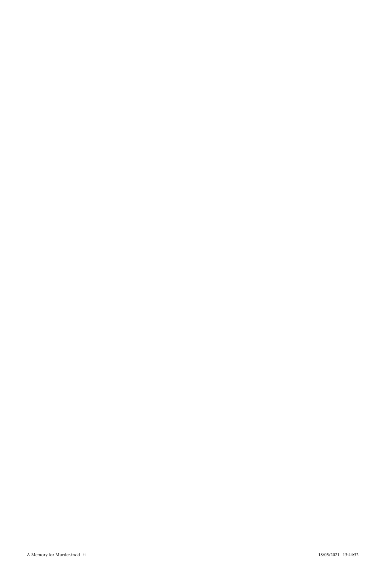$\overline{\phantom{a}}$ 

I

 $\overline{\phantom{a}}$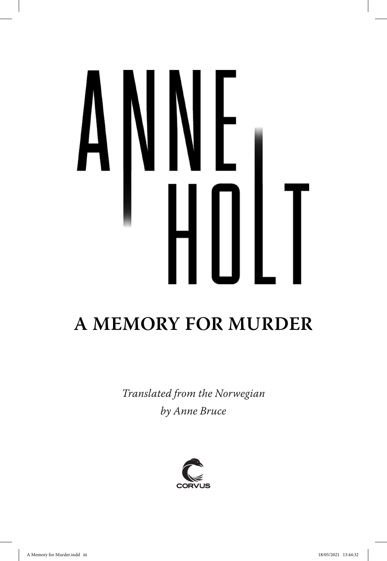# AN

### **A MEMORY FOR MURDER**

*Translated from the Norwegian by Anne Bruce*

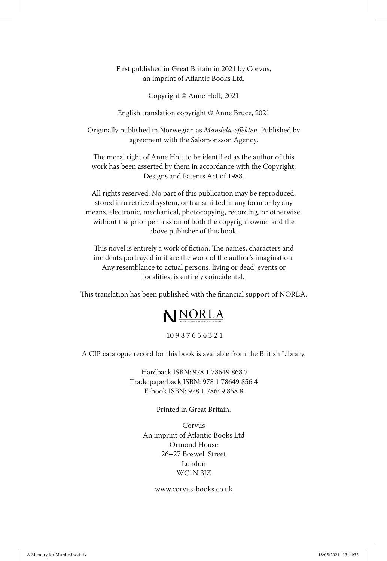First published in Great Britain in 2021 by Corvus, an imprint of Atlantic Books Ltd.

Copyright © Anne Holt, 2021

English translation copyright © Anne Bruce, 2021

Originally published in Norwegian as *Mandela-effekten*. Published by agreement with the Salomonsson Agency.

The moral right of Anne Holt to be identified as the author of this work has been asserted by them in accordance with the Copyright, Designs and Patents Act of 1988.

All rights reserved. No part of this publication may be reproduced, stored in a retrieval system, or transmitted in any form or by any means, electronic, mechanical, photocopying, recording, or otherwise, without the prior permission of both the copyright owner and the above publisher of this book.

This novel is entirely a work of fiction. The names, characters and incidents portrayed in it are the work of the author's imagination. Any resemblance to actual persons, living or dead, events or localities, is entirely coincidental.

This translation has been published with the financial support of NORLA.

#### NINORLA

#### 10 9 8 7 6 5 4 3 2 1

A CIP catalogue record for this book is available from the British Library.

 Hardback ISBN: 978 1 78649 868 7 Trade paperback ISBN: 978 1 78649 856 4 E-book ISBN: 978 1 78649 858 8

Printed in Great Britain.

Corvus An imprint of Atlantic Books Ltd Ormond House 26–27 Boswell Street London WC1N 3JZ

www.corvus-books.co.uk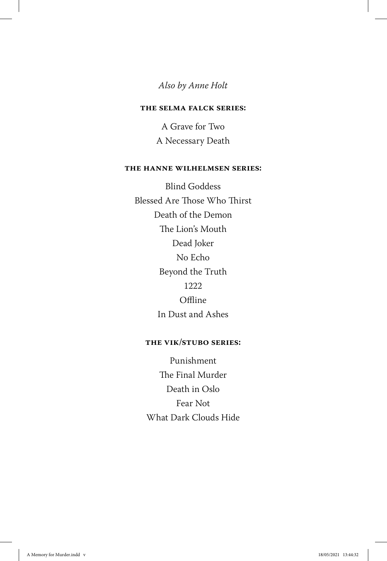#### *Also by Anne Holt*

#### **THE selma falck series:**

A Grave for Two A Necessary Death

#### **THE HANNE WILHELMSEN SERIES:**

Blind Goddess Blessed Are Those Who Thirst Death of the Demon The Lion's Mouth Dead Joker No Echo Beyond the Truth 1222 Offline In Dust and Ashes

#### **THE VIK/stubo SERIES:**

Punishment The Final Murder Death in Oslo Fear Not What Dark Clouds Hide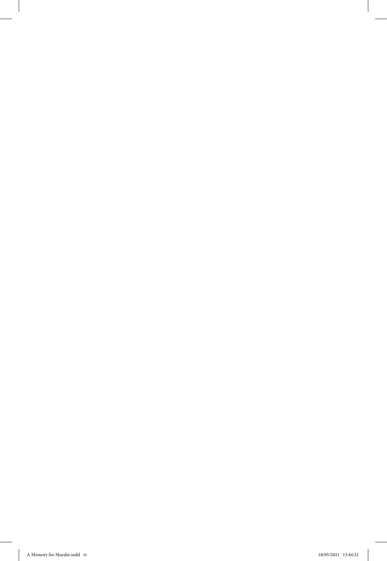$\overline{\phantom{a}}$ 

I

I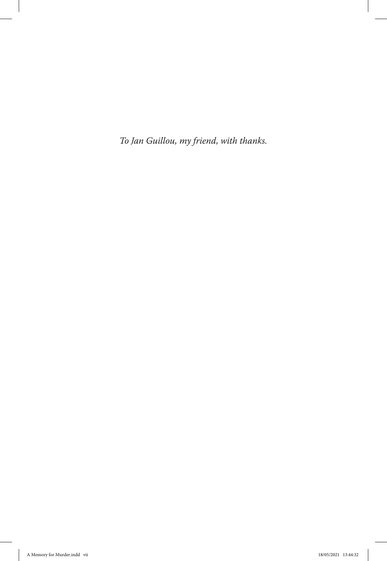*To Jan Guillou, my friend, with thanks.*

I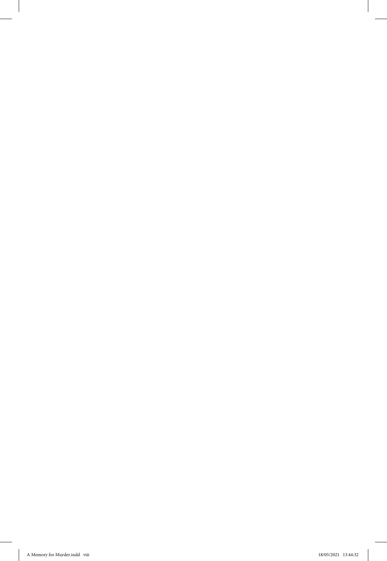$\overline{\phantom{a}}$ 

I

 $\overline{\phantom{a}}$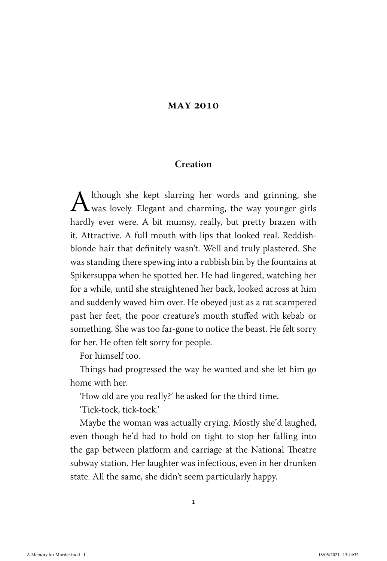#### **May 2010**

#### **Creation**

Ithough she kept slurring her words and grinning, she was lovely. Elegant and charming, the way younger girls hardly ever were. A bit mumsy, really, but pretty brazen with it. Attractive. A full mouth with lips that looked real. Reddishblonde hair that definitely wasn't. Well and truly plastered. She was standing there spewing into a rubbish bin by the fountains at Spikersuppa when he spotted her. He had lingered, watching her for a while, until she straightened her back, looked across at him and suddenly waved him over. He obeyed just as a rat scampered past her feet, the poor creature's mouth stuffed with kebab or something. She was too far-gone to notice the beast. He felt sorry for her. He often felt sorry for people.

For himself too.

Things had progressed the way he wanted and she let him go home with her.

'How old are you really?' he asked for the third time.

'Tick-tock, tick-tock.'

Maybe the woman was actually crying. Mostly she'd laughed, even though he'd had to hold on tight to stop her falling into the gap between platform and carriage at the National Theatre subway station. Her laughter was infectious, even in her drunken state. All the same, she didn't seem particularly happy.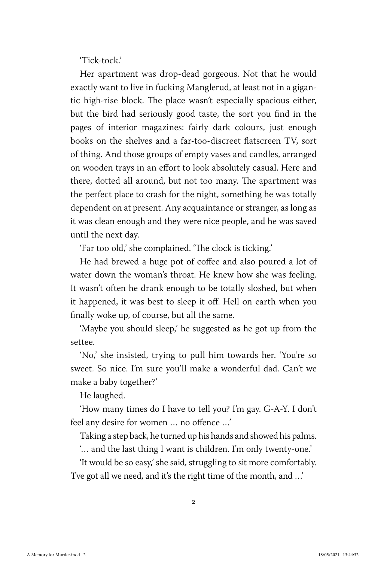'Tick-tock.'

Her apartment was drop-dead gorgeous. Not that he would exactly want to live in fucking Manglerud, at least not in a gigantic high-rise block. The place wasn't especially spacious either, but the bird had seriously good taste, the sort you find in the pages of interior magazines: fairly dark colours, just enough books on the shelves and a far-too-discreet flatscreen TV, sort of thing. And those groups of empty vases and candles, arranged on wooden trays in an effort to look absolutely casual. Here and there, dotted all around, but not too many. The apartment was the perfect place to crash for the night, something he was totally dependent on at present. Any acquaintance or stranger, as long as it was clean enough and they were nice people, and he was saved until the next day.

'Far too old,' she complained. 'The clock is ticking.'

He had brewed a huge pot of coffee and also poured a lot of water down the woman's throat. He knew how she was feeling. It wasn't often he drank enough to be totally sloshed, but when it happened, it was best to sleep it off. Hell on earth when you finally woke up, of course, but all the same.

'Maybe you should sleep,' he suggested as he got up from the settee.

'No,' she insisted, trying to pull him towards her. 'You're so sweet. So nice. I'm sure you'll make a wonderful dad. Can't we make a baby together?'

He laughed.

'How many times do I have to tell you? I'm gay. G-A-Y. I don't feel any desire for women ... no offence ...'

Taking a step back, he turned up his hands and showed his palms.

'… and the last thing I want is children. I'm only twenty-one.'

'It would be so easy,' she said, struggling to sit more comfortably. 'I've got all we need, and it's the right time of the month, and …'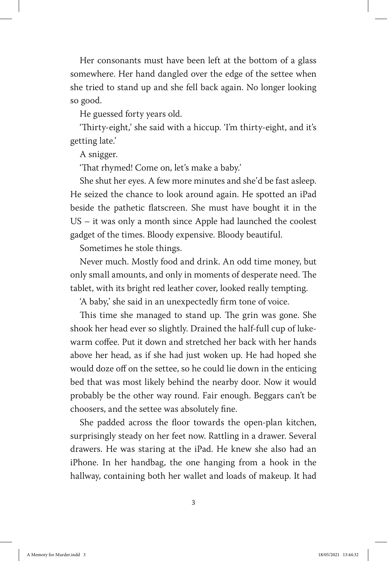Her consonants must have been left at the bottom of a glass somewhere. Her hand dangled over the edge of the settee when she tried to stand up and she fell back again. No longer looking so good.

He guessed forty years old.

'Th irty-eight,' she said with a hiccup. 'I'm thirty-eight, and it's getting late.'

A snigger.

'Th at rhymed! Come on, let's make a baby.'

She shut her eyes. A few more minutes and she'd be fast asleep. He seized the chance to look around again. He spotted an iPad beside the pathetic flatscreen. She must have bought it in the US – it was only a month since Apple had launched the coolest gadget of the times. Bloody expensive. Bloody beautiful.

Sometimes he stole things.

Never much. Mostly food and drink. An odd time money, but only small amounts, and only in moments of desperate need. The tablet, with its bright red leather cover, looked really tempting.

'A baby,' she said in an unexpectedly firm tone of voice.

This time she managed to stand up. The grin was gone. She shook her head ever so slightly. Drained the half-full cup of lukewarm coffee. Put it down and stretched her back with her hands above her head, as if she had just woken up. He had hoped she would doze off on the settee, so he could lie down in the enticing bed that was most likely behind the nearby door. Now it would probably be the other way round. Fair enough. Beggars can't be choosers, and the settee was absolutely fine.

She padded across the floor towards the open-plan kitchen, surprisingly steady on her feet now. Rattling in a drawer. Several drawers. He was staring at the iPad. He knew she also had an iPhone. In her handbag, the one hanging from a hook in the hallway, containing both her wallet and loads of makeup. It had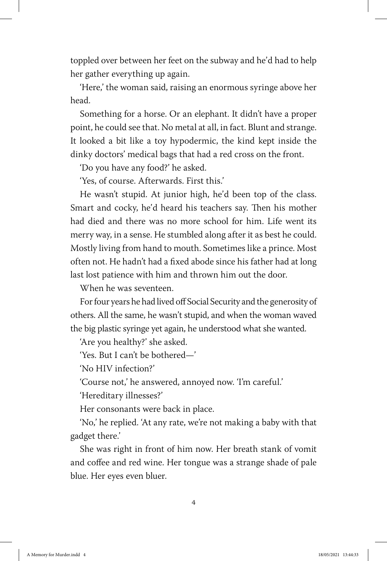toppled over between her feet on the subway and he'd had to help her gather everything up again.

'Here,' the woman said, raising an enormous syringe above her head.

Something for a horse. Or an elephant. It didn't have a proper point, he could see that. No metal at all, in fact. Blunt and strange. It looked a bit like a toy hypodermic, the kind kept inside the dinky doctors' medical bags that had a red cross on the front.

'Do you have any food?' he asked.

'Yes, of course. Afterwards. First this.'

He wasn't stupid. At junior high, he'd been top of the class. Smart and cocky, he'd heard his teachers say. Then his mother had died and there was no more school for him. Life went its merry way, in a sense. He stumbled along after it as best he could. Mostly living from hand to mouth. Sometimes like a prince. Most often not. He hadn't had a fi xed abode since his father had at long last lost patience with him and thrown him out the door.

When he was seventeen.

For four years he had lived off Social Security and the generosity of others. All the same, he wasn't stupid, and when the woman waved the big plastic syringe yet again, he understood what she wanted.

'Are you healthy?' she asked.

'Yes. But I can't be bothered—'

'No HIV infection?'

'Course not,' he answered, annoyed now. 'I'm careful.'

'Hereditary illnesses?'

Her consonants were back in place.

'No,' he replied. 'At any rate, we're not making a baby with that gadget there.'

She was right in front of him now. Her breath stank of vomit and coffee and red wine. Her tongue was a strange shade of pale blue. Her eyes even bluer.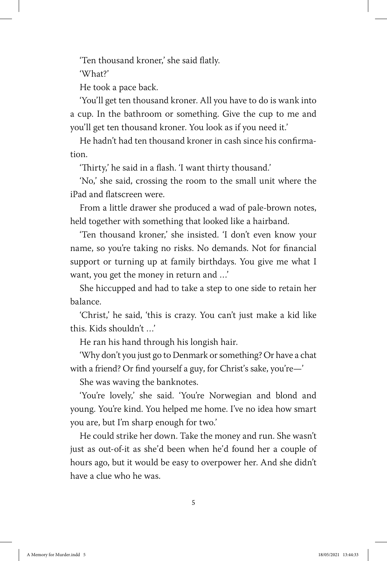'Ten thousand kroner,' she said flatly.

'What?'

He took a pace back.

'You'll get ten thousand kroner. All you have to do is wank into a cup. In the bathroom or something. Give the cup to me and you'll get ten thousand kroner. You look as if you need it.'

He hadn't had ten thousand kroner in cash since his confirmation.

'Thirty,' he said in a flash. 'I want thirty thousand.'

'No,' she said, crossing the room to the small unit where the iPad and flatscreen were.

From a little drawer she produced a wad of pale-brown notes, held together with something that looked like a hairband.

'Ten thousand kroner,' she insisted. 'I don't even know your name, so you're taking no risks. No demands. Not for financial support or turning up at family birthdays. You give me what I want, you get the money in return and …'

She hiccupped and had to take a step to one side to retain her balance.

'Christ,' he said, 'this is crazy. You can't just make a kid like this. Kids shouldn't …'

He ran his hand through his longish hair.

'Why don't you just go to Denmark or something? Or have a chat with a friend? Or find yourself a guy, for Christ's sake, you're—'

She was waving the banknotes.

'You're lovely,' she said. 'You're Norwegian and blond and young. You're kind. You helped me home. I've no idea how smart you are, but I'm sharp enough for two.'

He could strike her down. Take the money and run. She wasn't just as out-of-it as she'd been when he'd found her a couple of hours ago, but it would be easy to overpower her. And she didn't have a clue who he was.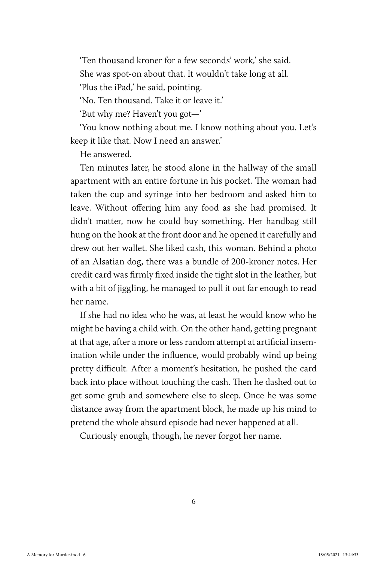'Ten thousand kroner for a few seconds' work,' she said. She was spot-on about that. It wouldn't take long at all.

'Plus the iPad,' he said, pointing.

'No. Ten thousand. Take it or leave it.'

'But why me? Haven't you got—'

'You know nothing about me. I know nothing about you. Let's keep it like that. Now I need an answer.'

He answered.

Ten minutes later, he stood alone in the hallway of the small apartment with an entire fortune in his pocket. The woman had taken the cup and syringe into her bedroom and asked him to leave. Without offering him any food as she had promised. It didn't matter, now he could buy something. Her handbag still hung on the hook at the front door and he opened it carefully and drew out her wallet. She liked cash, this woman. Behind a photo of an Alsatian dog, there was a bundle of 200-kroner notes. Her credit card was firmly fixed inside the tight slot in the leather, but with a bit of jiggling, he managed to pull it out far enough to read her name.

If she had no idea who he was, at least he would know who he might be having a child with. On the other hand, getting pregnant at that age, after a more or less random attempt at artificial insemination while under the influence, would probably wind up being pretty difficult. After a moment's hesitation, he pushed the card back into place without touching the cash. Then he dashed out to get some grub and somewhere else to sleep. Once he was some distance away from the apartment block, he made up his mind to pretend the whole absurd episode had never happened at all.

Curiously enough, though, he never forgot her name.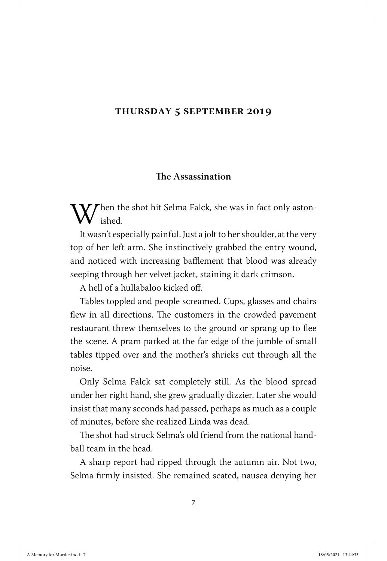#### **Thursday 5 September 2019**

#### **The Assassination**

hen the shot hit Selma Falck, she was in fact only astonished.

It wasn't especially painful. Just a jolt to her shoulder, at the very top of her left arm. She instinctively grabbed the entry wound, and noticed with increasing bafflement that blood was already seeping through her velvet jacket, staining it dark crimson.

A hell of a hullabaloo kicked off.

Tables toppled and people screamed. Cups, glasses and chairs flew in all directions. The customers in the crowded pavement restaurant threw themselves to the ground or sprang up to flee the scene. A pram parked at the far edge of the jumble of small tables tipped over and the mother's shrieks cut through all the noise.

Only Selma Falck sat completely still. As the blood spread under her right hand, she grew gradually dizzier. Later she would insist that many seconds had passed, perhaps as much as a couple of minutes, before she realized Linda was dead.

The shot had struck Selma's old friend from the national handball team in the head.

A sharp report had ripped through the autumn air. Not two, Selma firmly insisted. She remained seated, nausea denying her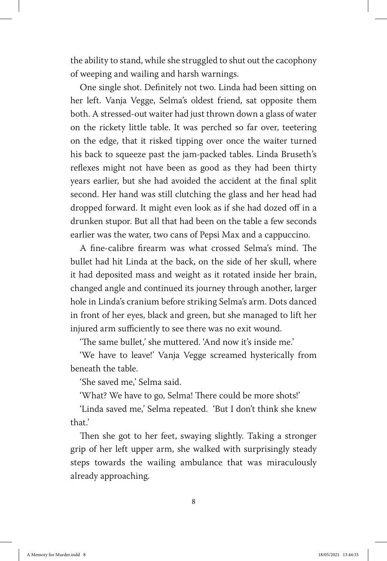the ability to stand, while she struggled to shut out the cacophony of weeping and wailing and harsh warnings.

One single shot. Definitely not two. Linda had been sitting on her left. Vanja Vegge, Selma's oldest friend, sat opposite them both. A stressed-out waiter had just thrown down a glass of water on the rickety little table. It was perched so far over, teetering on the edge, that it risked tipping over once the waiter turned his back to squeeze past the jam-packed tables. Linda Bruseth's reflexes might not have been as good as they had been thirty years earlier, but she had avoided the accident at the final split second. Her hand was still clutching the glass and her head had dropped forward. It might even look as if she had dozed off in a drunken stupor. But all that had been on the table a few seconds earlier was the water, two cans of Pepsi Max and a cappuccino.

A fine-calibre firearm was what crossed Selma's mind. The bullet had hit Linda at the back, on the side of her skull, where it had deposited mass and weight as it rotated inside her brain, changed angle and continued its journey through another, larger hole in Linda's cranium before striking Selma's arm. Dots danced in front of her eyes, black and green, but she managed to lift her injured arm sufficiently to see there was no exit wound.

'The same bullet,' she muttered. 'And now it's inside me.'

'We have to leave!' Vanja Vegge screamed hysterically from beneath the table.

'She saved me,' Selma said.

'What? We have to go, Selma! There could be more shots!'

'Linda saved me,' Selma repeated. 'But I don't think she knew that.'

Then she got to her feet, swaying slightly. Taking a stronger grip of her left upper arm, she walked with surprisingly steady steps towards the wailing ambulance that was miraculously already approaching.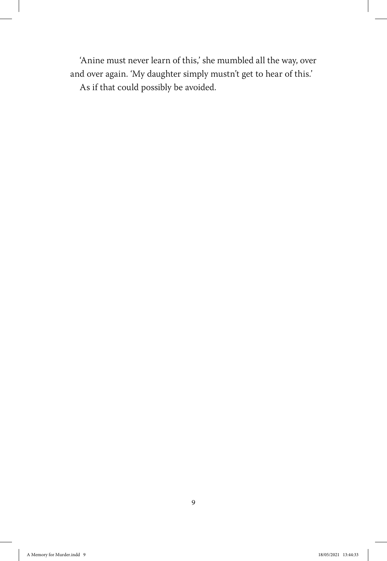'Anine must never learn of this,' she mumbled all the way, over and over again. 'My daughter simply mustn't get to hear of this.' As if that could possibly be avoided.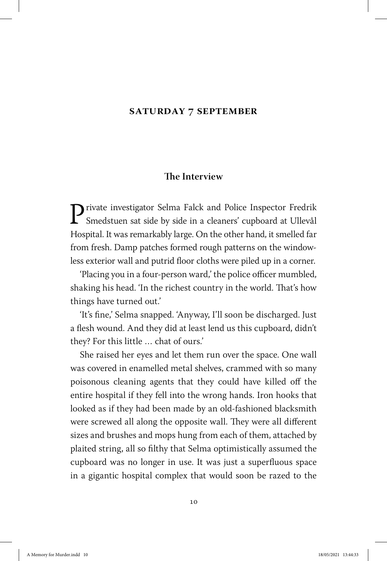#### **Saturday 7 September**

#### **The Interview**

Private investigator Selma Falck and Police Inspector Fredrik Smedstuen sat side by side in a cleaners' cupboard at Ullevål Hospital. It was remarkably large. On the other hand, it smelled far from fresh. Damp patches formed rough patterns on the windowless exterior wall and putrid floor cloths were piled up in a corner.

'Placing you in a four-person ward,' the police officer mumbled, shaking his head. 'In the richest country in the world. That's how things have turned out.'

'It's fine,' Selma snapped. 'Anyway, I'll soon be discharged. Just a flesh wound. And they did at least lend us this cupboard, didn't they? For this little … chat of ours.'

She raised her eyes and let them run over the space. One wall was covered in enamelled metal shelves, crammed with so many poisonous cleaning agents that they could have killed off the entire hospital if they fell into the wrong hands. Iron hooks that looked as if they had been made by an old-fashioned blacksmith were screwed all along the opposite wall. They were all different sizes and brushes and mops hung from each of them, attached by plaited string, all so filthy that Selma optimistically assumed the cupboard was no longer in use. It was just a superfluous space in a gigantic hospital complex that would soon be razed to the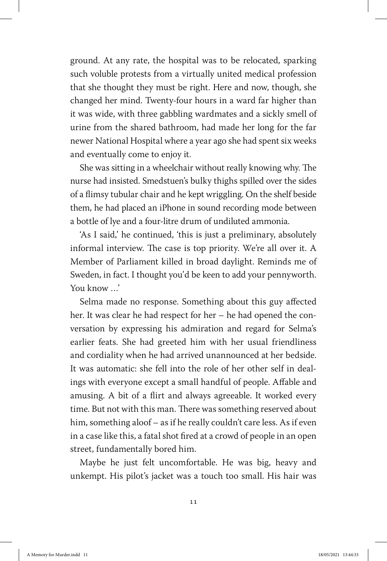ground. At any rate, the hospital was to be relocated, sparking such voluble protests from a virtually united medical profession that she thought they must be right. Here and now, though, she changed her mind. Twenty-four hours in a ward far higher than it was wide, with three gabbling wardmates and a sickly smell of urine from the shared bathroom, had made her long for the far newer National Hospital where a year ago she had spent six weeks and eventually come to enjoy it.

She was sitting in a wheelchair without really knowing why. The nurse had insisted. Smedstuen's bulky thighs spilled over the sides of a flimsy tubular chair and he kept wriggling. On the shelf beside them, he had placed an iPhone in sound recording mode between a bottle of lye and a four-litre drum of undiluted ammonia.

'As I said,' he continued, 'this is just a preliminary, absolutely informal interview. The case is top priority. We're all over it. A Member of Parliament killed in broad daylight. Reminds me of Sweden, in fact. I thought you'd be keen to add your pennyworth. You know …'

Selma made no response. Something about this guy affected her. It was clear he had respect for her – he had opened the conversation by expressing his admiration and regard for Selma's earlier feats. She had greeted him with her usual friendliness and cordiality when he had arrived unannounced at her bedside. It was automatic: she fell into the role of her other self in dealings with everyone except a small handful of people. Affable and amusing. A bit of a flirt and always agreeable. It worked every time. But not with this man. There was something reserved about him, something aloof – as if he really couldn't care less. As if even in a case like this, a fatal shot fired at a crowd of people in an open street, fundamentally bored him.

Maybe he just felt uncomfortable. He was big, heavy and unkempt. His pilot's jacket was a touch too small. His hair was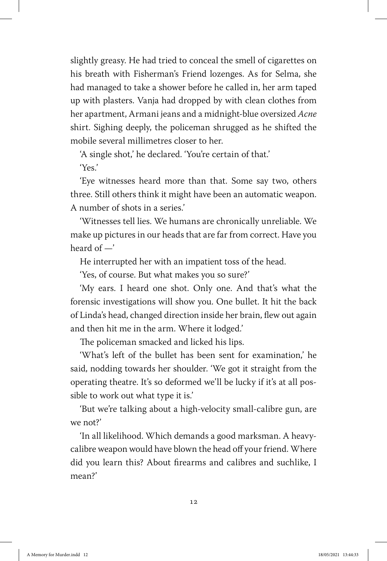slightly greasy. He had tried to conceal the smell of cigarettes on his breath with Fisherman's Friend lozenges. As for Selma, she had managed to take a shower before he called in, her arm taped up with plasters. Vanja had dropped by with clean clothes from her apartment, Armani jeans and a midnight-blue oversized *Acne* shirt. Sighing deeply, the policeman shrugged as he shifted the mobile several millimetres closer to her.

'A single shot,' he declared. 'You're certain of that.'

'Yes.'

'Eye witnesses heard more than that. Some say two, others three. Still others think it might have been an automatic weapon. A number of shots in a series.'

'Witnesses tell lies. We humans are chronically unreliable. We make up pictures in our heads that are far from correct. Have you heard of —'

He interrupted her with an impatient toss of the head.

'Yes, of course. But what makes you so sure?'

'My ears. I heard one shot. Only one. And that's what the forensic investigations will show you. One bullet. It hit the back of Linda's head, changed direction inside her brain, flew out again and then hit me in the arm. Where it lodged.'

The policeman smacked and licked his lips.

'What's left of the bullet has been sent for examination,' he said, nodding towards her shoulder. 'We got it straight from the operating theatre. It's so deformed we'll be lucky if it's at all possible to work out what type it is.'

'But we're talking about a high-velocity small-calibre gun, are we not?'

'In all likelihood. Which demands a good marksman. A heavycalibre weapon would have blown the head off your friend. Where did you learn this? About firearms and calibres and suchlike, I mean?'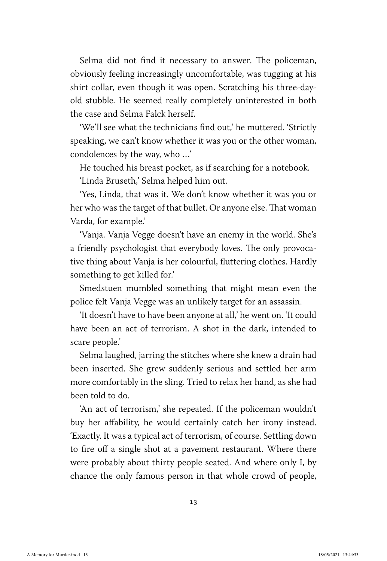Selma did not find it necessary to answer. The policeman, obviously feeling increasingly uncomfortable, was tugging at his shirt collar, even though it was open. Scratching his three-dayold stubble. He seemed really completely uninterested in both the case and Selma Falck herself.

'We'll see what the technicians find out,' he muttered. 'Strictly speaking, we can't know whether it was you or the other woman, condolences by the way, who …'

He touched his breast pocket, as if searching for a notebook.

'Linda Bruseth,' Selma helped him out.

'Yes, Linda, that was it. We don't know whether it was you or her who was the target of that bullet. Or anyone else. That woman Varda, for example.'

'Vanja. Vanja Vegge doesn't have an enemy in the world. She's a friendly psychologist that everybody loves. The only provocative thing about Vanja is her colourful, fluttering clothes. Hardly something to get killed for.'

Smedstuen mumbled something that might mean even the police felt Vanja Vegge was an unlikely target for an assassin.

'It doesn't have to have been anyone at all,' he went on. 'It could have been an act of terrorism. A shot in the dark, intended to scare people.'

Selma laughed, jarring the stitches where she knew a drain had been inserted. She grew suddenly serious and settled her arm more comfortably in the sling. Tried to relax her hand, as she had been told to do.

'An act of terrorism,' she repeated. If the policeman wouldn't buy her affability, he would certainly catch her irony instead. 'Exactly. It was a typical act of terrorism, of course. Settling down to fire off a single shot at a pavement restaurant. Where there were probably about thirty people seated. And where only I, by chance the only famous person in that whole crowd of people,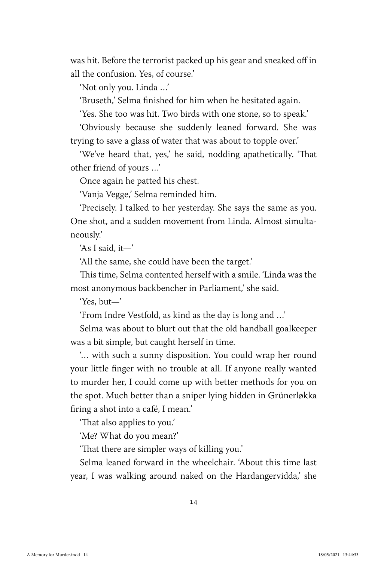was hit. Before the terrorist packed up his gear and sneaked off in all the confusion. Yes, of course.'

'Not only you. Linda …'

'Bruseth,' Selma finished for him when he hesitated again.

'Yes. She too was hit. Two birds with one stone, so to speak.'

'Obviously because she suddenly leaned forward. She was trying to save a glass of water that was about to topple over.'

'We've heard that, yes,' he said, nodding apathetically. 'That other friend of yours …'

Once again he patted his chest.

'Vanja Vegge,' Selma reminded him.

'Precisely. I talked to her yesterday. She says the same as you. One shot, and a sudden movement from Linda. Almost simultaneously.'

'As I said, it—'

'All the same, she could have been the target.'

This time, Selma contented herself with a smile. 'Linda was the most anonymous backbencher in Parliament,' she said.

'Yes, but—'

'From Indre Vestfold, as kind as the day is long and …'

Selma was about to blurt out that the old handball goalkeeper was a bit simple, but caught herself in time.

'… with such a sunny disposition. You could wrap her round your little finger with no trouble at all. If anyone really wanted to murder her, I could come up with better methods for you on the spot. Much better than a sniper lying hidden in Grünerløkka firing a shot into a café, I mean.'

'Th at also applies to you.'

'Me? What do you mean?'

'Th at there are simpler ways of killing you.'

Selma leaned forward in the wheelchair. 'About this time last year, I was walking around naked on the Hardangervidda,' she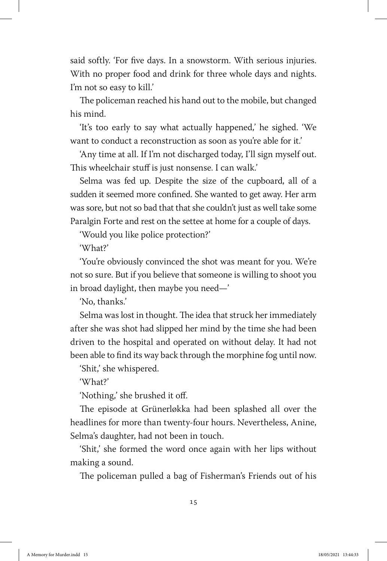said softly. 'For five days. In a snowstorm. With serious injuries. With no proper food and drink for three whole days and nights. I'm not so easy to kill.'

The policeman reached his hand out to the mobile, but changed his mind.

'It's too early to say what actually happened,' he sighed. 'We want to conduct a reconstruction as soon as you're able for it.'

'Any time at all. If I'm not discharged today, I'll sign myself out. This wheelchair stuff is just nonsense. I can walk.'

Selma was fed up. Despite the size of the cupboard, all of a sudden it seemed more confined. She wanted to get away. Her arm was sore, but not so bad that that she couldn't just as well take some Paralgin Forte and rest on the settee at home for a couple of days.

'Would you like police protection?'

'What?'

'You're obviously convinced the shot was meant for you. We're not so sure. But if you believe that someone is willing to shoot you in broad daylight, then maybe you need—'

'No, thanks.'

Selma was lost in thought. The idea that struck her immediately after she was shot had slipped her mind by the time she had been driven to the hospital and operated on without delay. It had not been able to find its way back through the morphine fog until now.

'Shit,' she whispered.

'What?'

'Nothing,' she brushed it off.

The episode at Grünerløkka had been splashed all over the headlines for more than twenty-four hours. Nevertheless, Anine, Selma's daughter, had not been in touch.

'Shit,' she formed the word once again with her lips without making a sound.

The policeman pulled a bag of Fisherman's Friends out of his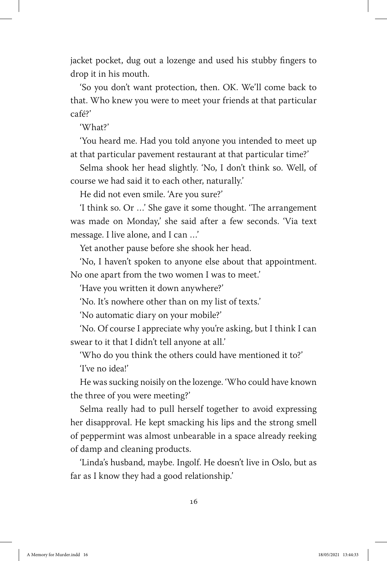jacket pocket, dug out a lozenge and used his stubby fingers to drop it in his mouth.

'So you don't want protection, then. OK. We'll come back to that. Who knew you were to meet your friends at that particular café?'

'What?'

'You heard me. Had you told anyone you intended to meet up at that particular pavement restaurant at that particular time?'

Selma shook her head slightly. 'No, I don't think so. Well, of course we had said it to each other, naturally.'

He did not even smile. 'Are you sure?'

'I think so. Or ...' She gave it some thought. 'The arrangement was made on Monday,' she said after a few seconds. 'Via text message. I live alone, and I can …'

Yet another pause before she shook her head.

'No, I haven't spoken to anyone else about that appointment. No one apart from the two women I was to meet.'

'Have you written it down anywhere?'

'No. It's nowhere other than on my list of texts.'

'No automatic diary on your mobile?'

'No. Of course I appreciate why you're asking, but I think I can swear to it that I didn't tell anyone at all.'

'Who do you think the others could have mentioned it to?' 'I've no idea!'

He was sucking noisily on the lozenge. 'Who could have known the three of you were meeting?'

Selma really had to pull herself together to avoid expressing her disapproval. He kept smacking his lips and the strong smell of peppermint was almost unbearable in a space already reeking of damp and cleaning products.

'Linda's husband, maybe. Ingolf. He doesn't live in Oslo, but as far as I know they had a good relationship.'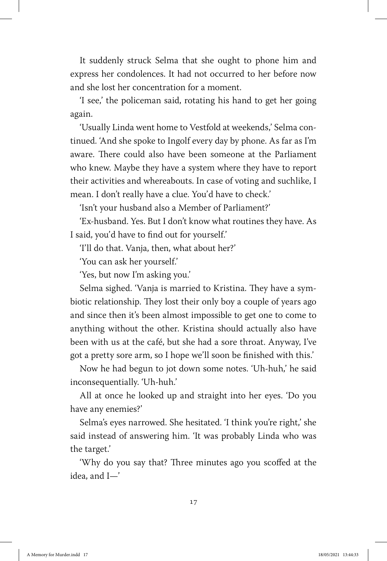It suddenly struck Selma that she ought to phone him and express her condolences. It had not occurred to her before now and she lost her concentration for a moment.

'I see,' the policeman said, rotating his hand to get her going again.

'Usually Linda went home to Vestfold at weekends,' Selma continued. 'And she spoke to Ingolf every day by phone. As far as I'm aware. There could also have been someone at the Parliament who knew. Maybe they have a system where they have to report their activities and whereabouts. In case of voting and suchlike, I mean. I don't really have a clue. You'd have to check.'

'Isn't your husband also a Member of Parliament?'

'Ex-husband. Yes. But I don't know what routines they have. As I said, you'd have to find out for yourself.'

'I'll do that. Vanja, then, what about her?'

'You can ask her yourself.'

'Yes, but now I'm asking you.'

Selma sighed. 'Vanja is married to Kristina. They have a symbiotic relationship. They lost their only boy a couple of years ago and since then it's been almost impossible to get one to come to anything without the other. Kristina should actually also have been with us at the café, but she had a sore throat. Anyway, I've got a pretty sore arm, so I hope we'll soon be finished with this.'

Now he had begun to jot down some notes. 'Uh-huh,' he said inconsequentially. 'Uh-huh.'

All at once he looked up and straight into her eyes. 'Do you have any enemies?'

Selma's eyes narrowed. She hesitated. 'I think you're right,' she said instead of answering him. 'It was probably Linda who was the target.'

'Why do you say that? Three minutes ago you scoffed at the idea, and I—'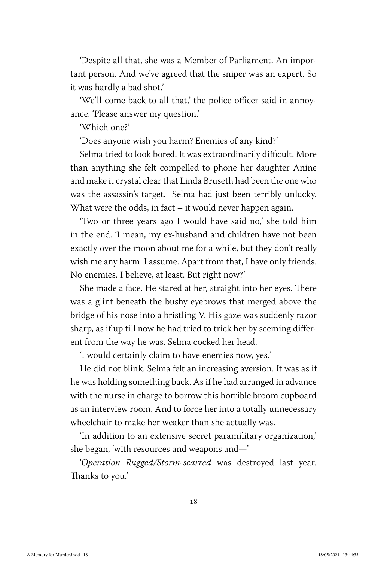'Despite all that, she was a Member of Parliament. An important person. And we've agreed that the sniper was an expert. So it was hardly a bad shot.'

'We'll come back to all that,' the police officer said in annoyance. 'Please answer my question.'

'Which one?'

'Does anyone wish you harm? Enemies of any kind?'

Selma tried to look bored. It was extraordinarily difficult. More than anything she felt compelled to phone her daughter Anine and make it crystal clear that Linda Bruseth had been the one who was the assassin's target. Selma had just been terribly unlucky. What were the odds, in fact – it would never happen again.

'Two or three years ago I would have said no,' she told him in the end. 'I mean, my ex-husband and children have not been exactly over the moon about me for a while, but they don't really wish me any harm. I assume. Apart from that, I have only friends. No enemies. I believe, at least. But right now?'

She made a face. He stared at her, straight into her eyes. There was a glint beneath the bushy eyebrows that merged above the bridge of his nose into a bristling V. His gaze was suddenly razor sharp, as if up till now he had tried to trick her by seeming different from the way he was. Selma cocked her head.

'I would certainly claim to have enemies now, yes.'

He did not blink. Selma felt an increasing aversion. It was as if he was holding something back. As if he had arranged in advance with the nurse in charge to borrow this horrible broom cupboard as an interview room. And to force her into a totally unnecessary wheelchair to make her weaker than she actually was.

'In addition to an extensive secret paramilitary organization,' she began, 'with resources and weapons and—'

'*Operation Rugged/Storm-scarred* was destroyed last year. Thanks to you.'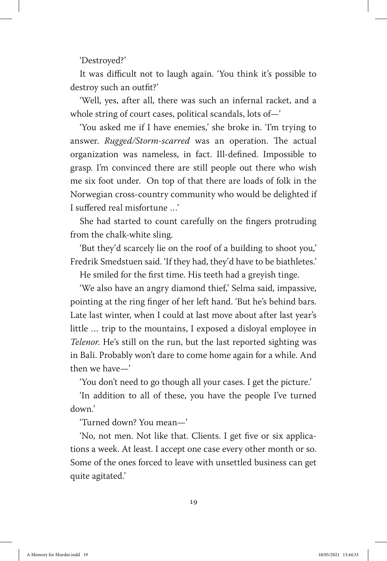'Destroyed?'

It was difficult not to laugh again. 'You think it's possible to destroy such an outfit?'

'Well, yes, after all, there was such an infernal racket, and a whole string of court cases, political scandals, lots of—'

'You asked me if I have enemies,' she broke in. 'I'm trying to answer. *Rugged/Storm-scarred* was an operation. The actual organization was nameless, in fact. Ill-defined. Impossible to grasp. I'm convinced there are still people out there who wish me six foot under. On top of that there are loads of folk in the Norwegian cross-country community who would be delighted if I suffered real misfortune ...'

She had started to count carefully on the fingers protruding from the chalk-white sling.

'But they'd scarcely lie on the roof of a building to shoot you,' Fredrik Smedstuen said. 'If they had, they'd have to be biathletes.'

He smiled for the first time. His teeth had a greyish tinge.

'We also have an angry diamond thief,' Selma said, impassive, pointing at the ring finger of her left hand. 'But he's behind bars. Late last winter, when I could at last move about after last year's little … trip to the mountains, I exposed a disloyal employee in *Telenor*. He's still on the run, but the last reported sighting was in Bali. Probably won't dare to come home again for a while. And then we have—'

'You don't need to go though all your cases. I get the picture.'

'In addition to all of these, you have the people I've turned down.'

'Turned down? You mean—'

'No, not men. Not like that. Clients. I get five or six applications a week. At least. I accept one case every other month or so. Some of the ones forced to leave with unsettled business can get quite agitated.'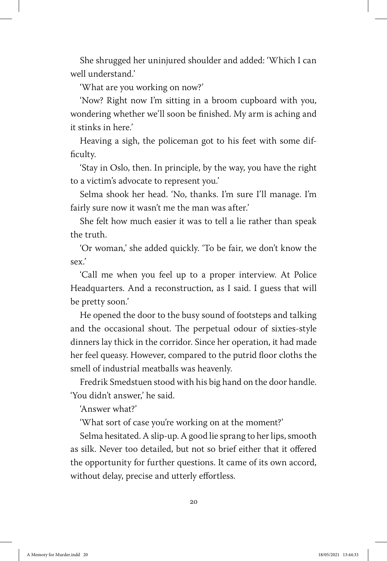She shrugged her uninjured shoulder and added: 'Which I can well understand.'

'What are you working on now?'

'Now? Right now I'm sitting in a broom cupboard with you, wondering whether we'll soon be finished. My arm is aching and it stinks in here.'

Heaving a sigh, the policeman got to his feet with some difficulty.

'Stay in Oslo, then. In principle, by the way, you have the right to a victim's advocate to represent you.'

Selma shook her head. 'No, thanks. I'm sure I'll manage. I'm fairly sure now it wasn't me the man was after.'

She felt how much easier it was to tell a lie rather than speak the truth.

'Or woman,' she added quickly. 'To be fair, we don't know the sex.'

'Call me when you feel up to a proper interview. At Police Headquarters. And a reconstruction, as I said. I guess that will be pretty soon.'

He opened the door to the busy sound of footsteps and talking and the occasional shout. The perpetual odour of sixties-style dinners lay thick in the corridor. Since her operation, it had made her feel queasy. However, compared to the putrid floor cloths the smell of industrial meatballs was heavenly.

Fredrik Smedstuen stood with his big hand on the door handle. 'You didn't answer,' he said.

'Answer what?'

'What sort of case you're working on at the moment?'

Selma hesitated. A slip-up. A good lie sprang to her lips, smooth as silk. Never too detailed, but not so brief either that it offered the opportunity for further questions. It came of its own accord, without delay, precise and utterly effortless.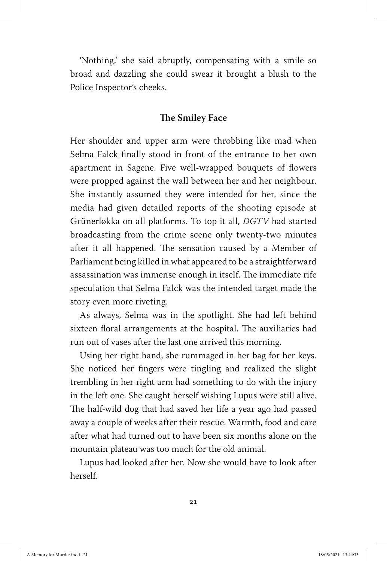'Nothing,' she said abruptly, compensating with a smile so broad and dazzling she could swear it brought a blush to the Police Inspector's cheeks.

#### **The Smiley Face**

Her shoulder and upper arm were throbbing like mad when Selma Falck finally stood in front of the entrance to her own apartment in Sagene. Five well-wrapped bouquets of flowers were propped against the wall between her and her neighbour. She instantly assumed they were intended for her, since the media had given detailed reports of the shooting episode at Grünerløkka on all platforms. To top it all, *DGTV* had started broadcasting from the crime scene only twenty-two minutes after it all happened. The sensation caused by a Member of Parliament being killed in what appeared to be a straightforward assassination was immense enough in itself. The immediate rife speculation that Selma Falck was the intended target made the story even more riveting.

As always, Selma was in the spotlight. She had left behind sixteen floral arrangements at the hospital. The auxiliaries had run out of vases after the last one arrived this morning.

Using her right hand, she rummaged in her bag for her keys. She noticed her fingers were tingling and realized the slight trembling in her right arm had something to do with the injury in the left one. She caught herself wishing Lupus were still alive. The half-wild dog that had saved her life a year ago had passed away a couple of weeks after their rescue. Warmth, food and care after what had turned out to have been six months alone on the mountain plateau was too much for the old animal.

Lupus had looked after her. Now she would have to look after herself.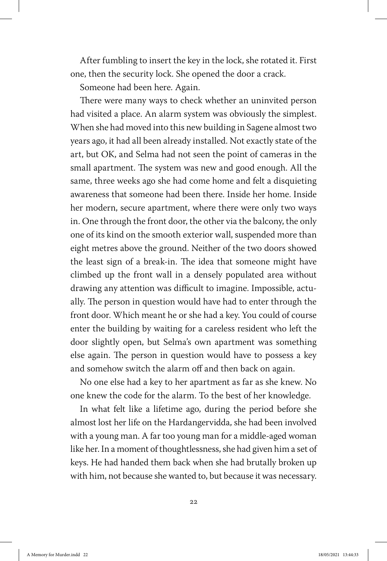After fumbling to insert the key in the lock, she rotated it. First one, then the security lock. She opened the door a crack.

Someone had been here. Again.

There were many ways to check whether an uninvited person had visited a place. An alarm system was obviously the simplest. When she had moved into this new building in Sagene almost two years ago, it had all been already installed. Not exactly state of the art, but OK, and Selma had not seen the point of cameras in the small apartment. The system was new and good enough. All the same, three weeks ago she had come home and felt a disquieting awareness that someone had been there. Inside her home. Inside her modern, secure apartment, where there were only two ways in. One through the front door, the other via the balcony, the only one of its kind on the smooth exterior wall, suspended more than eight metres above the ground. Neither of the two doors showed the least sign of a break-in. The idea that someone might have climbed up the front wall in a densely populated area without drawing any attention was difficult to imagine. Impossible, actually. The person in question would have had to enter through the front door. Which meant he or she had a key. You could of course enter the building by waiting for a careless resident who left the door slightly open, but Selma's own apartment was something else again. The person in question would have to possess a key and somehow switch the alarm off and then back on again.

No one else had a key to her apartment as far as she knew. No one knew the code for the alarm. To the best of her knowledge.

In what felt like a lifetime ago, during the period before she almost lost her life on the Hardangervidda, she had been involved with a young man. A far too young man for a middle-aged woman like her. In a moment of thoughtlessness, she had given him a set of keys. He had handed them back when she had brutally broken up with him, not because she wanted to, but because it was necessary.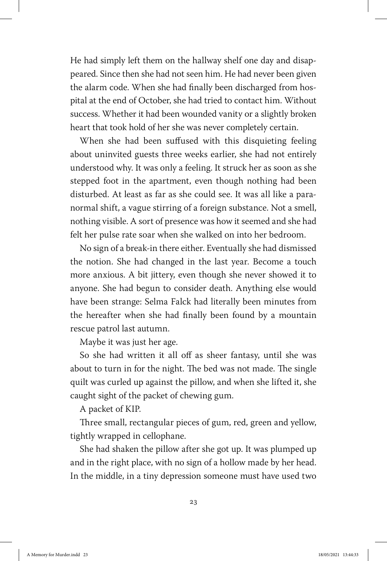He had simply left them on the hallway shelf one day and disappeared. Since then she had not seen him. He had never been given the alarm code. When she had finally been discharged from hospital at the end of October, she had tried to contact him. Without success. Whether it had been wounded vanity or a slightly broken heart that took hold of her she was never completely certain.

When she had been suffused with this disquieting feeling about uninvited guests three weeks earlier, she had not entirely understood why. It was only a feeling. It struck her as soon as she stepped foot in the apartment, even though nothing had been disturbed. At least as far as she could see. It was all like a paranormal shift, a vague stirring of a foreign substance. Not a smell, nothing visible. A sort of presence was how it seemed and she had felt her pulse rate soar when she walked on into her bedroom.

No sign of a break-in there either. Eventually she had dismissed the notion. She had changed in the last year. Become a touch more anxious. A bit jittery, even though she never showed it to anyone. She had begun to consider death. Anything else would have been strange: Selma Falck had literally been minutes from the hereafter when she had finally been found by a mountain rescue patrol last autumn.

Maybe it was just her age.

So she had written it all off as sheer fantasy, until she was about to turn in for the night. The bed was not made. The single quilt was curled up against the pillow, and when she lifted it, she caught sight of the packet of chewing gum.

A packet of KIP.

Three small, rectangular pieces of gum, red, green and yellow, tightly wrapped in cellophane.

She had shaken the pillow after she got up. It was plumped up and in the right place, with no sign of a hollow made by her head. In the middle, in a tiny depression someone must have used two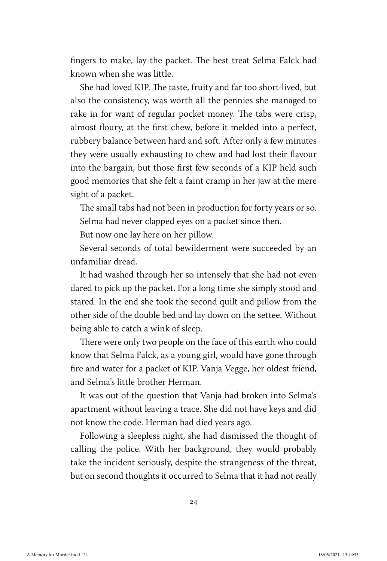fingers to make, lay the packet. The best treat Selma Falck had known when she was little.

She had loved KIP. The taste, fruity and far too short-lived, but also the consistency, was worth all the pennies she managed to rake in for want of regular pocket money. The tabs were crisp, almost floury, at the first chew, before it melded into a perfect, rubbery balance between hard and soft. After only a few minutes they were usually exhausting to chew and had lost their flavour into the bargain, but those first few seconds of a KIP held such good memories that she felt a faint cramp in her jaw at the mere sight of a packet.

The small tabs had not been in production for forty years or so. Selma had never clapped eyes on a packet since then.

But now one lay here on her pillow.

Several seconds of total bewilderment were succeeded by an unfamiliar dread.

It had washed through her so intensely that she had not even dared to pick up the packet. For a long time she simply stood and stared. In the end she took the second quilt and pillow from the other side of the double bed and lay down on the settee. Without being able to catch a wink of sleep.

There were only two people on the face of this earth who could know that Selma Falck, as a young girl, would have gone through fire and water for a packet of KIP. Vanja Vegge, her oldest friend, and Selma's little brother Herman.

It was out of the question that Vanja had broken into Selma's apartment without leaving a trace. She did not have keys and did not know the code. Herman had died years ago.

Following a sleepless night, she had dismissed the thought of calling the police. With her background, they would probably take the incident seriously, despite the strangeness of the threat, but on second thoughts it occurred to Selma that it had not really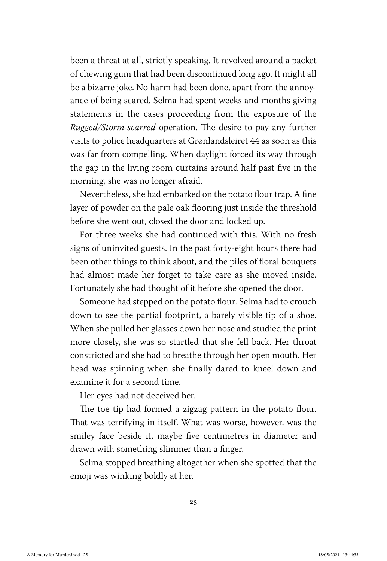been a threat at all, strictly speaking. It revolved around a packet of chewing gum that had been discontinued long ago. It might all be a bizarre joke. No harm had been done, apart from the annoyance of being scared. Selma had spent weeks and months giving statements in the cases proceeding from the exposure of the *Rugged/Storm-scarred* operation. The desire to pay any further visits to police headquarters at Grønlandsleiret 44 as soon as this was far from compelling. When daylight forced its way through the gap in the living room curtains around half past five in the morning, she was no longer afraid.

Nevertheless, she had embarked on the potato flour trap. A fine layer of powder on the pale oak flooring just inside the threshold before she went out, closed the door and locked up.

For three weeks she had continued with this. With no fresh signs of uninvited guests. In the past forty-eight hours there had been other things to think about, and the piles of floral bouquets had almost made her forget to take care as she moved inside. Fortunately she had thought of it before she opened the door.

Someone had stepped on the potato flour. Selma had to crouch down to see the partial footprint, a barely visible tip of a shoe. When she pulled her glasses down her nose and studied the print more closely, she was so startled that she fell back. Her throat constricted and she had to breathe through her open mouth. Her head was spinning when she finally dared to kneel down and examine it for a second time.

Her eyes had not deceived her.

The toe tip had formed a zigzag pattern in the potato flour. That was terrifying in itself. What was worse, however, was the smiley face beside it, maybe five centimetres in diameter and drawn with something slimmer than a finger.

Selma stopped breathing altogether when she spotted that the emoji was winking boldly at her.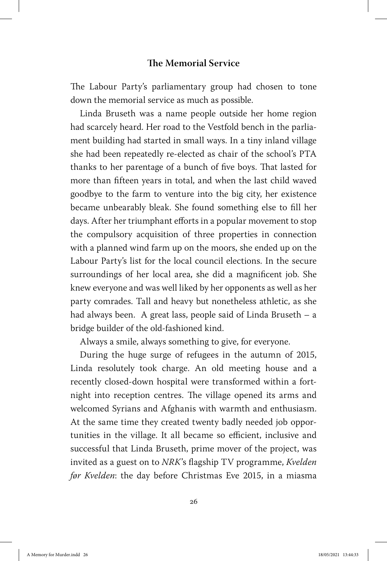#### **The Memorial Service**

The Labour Party's parliamentary group had chosen to tone down the memorial service as much as possible.

Linda Bruseth was a name people outside her home region had scarcely heard. Her road to the Vestfold bench in the parliament building had started in small ways. In a tiny inland village she had been repeatedly re-elected as chair of the school's PTA thanks to her parentage of a bunch of five boys. That lasted for more than fifteen years in total, and when the last child waved goodbye to the farm to venture into the big city, her existence became unbearably bleak. She found something else to fill her days. After her triumphant efforts in a popular movement to stop the compulsory acquisition of three properties in connection with a planned wind farm up on the moors, she ended up on the Labour Party's list for the local council elections. In the secure surroundings of her local area, she did a magnificent job. She knew everyone and was well liked by her opponents as well as her party comrades. Tall and heavy but nonetheless athletic, as she had always been. A great lass, people said of Linda Bruseth – a bridge builder of the old-fashioned kind.

Always a smile, always something to give, for everyone.

During the huge surge of refugees in the autumn of 2015, Linda resolutely took charge. An old meeting house and a recently closed-down hospital were transformed within a fortnight into reception centres. The village opened its arms and welcomed Syrians and Afghanis with warmth and enthusiasm. At the same time they created twenty badly needed job opportunities in the village. It all became so efficient, inclusive and successful that Linda Bruseth, prime mover of the project, was invited as a guest on to *NRK*'s flagship TV programme, *Kvelden før Kvelden*: the day before Christmas Eve 2015, in a miasma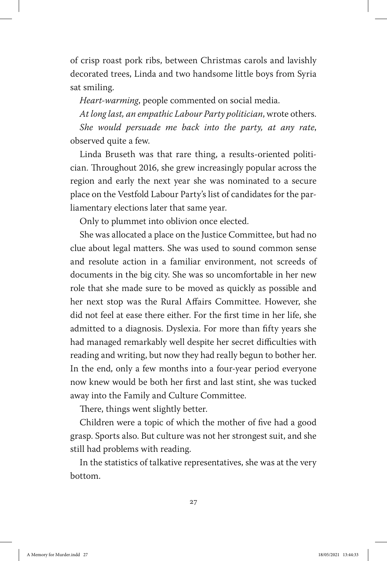of crisp roast pork ribs, between Christmas carols and lavishly decorated trees, Linda and two handsome little boys from Syria sat smiling.

*Heart-warming*, people commented on social media.

*At long last, an empathic Labour Party politician*, wrote others. *She would persuade me back into the party, at any rate*, observed quite a few.

Linda Bruseth was that rare thing, a results-oriented politician. Throughout 2016, she grew increasingly popular across the region and early the next year she was nominated to a secure place on the Vestfold Labour Party's list of candidates for the parliamentary elections later that same year.

Only to plummet into oblivion once elected.

She was allocated a place on the Justice Committee, but had no clue about legal matters. She was used to sound common sense and resolute action in a familiar environment, not screeds of documents in the big city. She was so uncomfortable in her new role that she made sure to be moved as quickly as possible and her next stop was the Rural Affairs Committee. However, she did not feel at ease there either. For the first time in her life, she admitted to a diagnosis. Dyslexia. For more than fifty years she had managed remarkably well despite her secret difficulties with reading and writing, but now they had really begun to bother her. In the end, only a few months into a four-year period everyone now knew would be both her first and last stint, she was tucked away into the Family and Culture Committee.

There, things went slightly better.

Children were a topic of which the mother of five had a good grasp. Sports also. But culture was not her strongest suit, and she still had problems with reading.

In the statistics of talkative representatives, she was at the very bottom.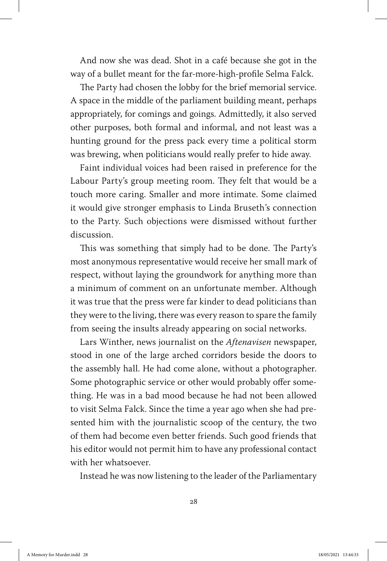And now she was dead. Shot in a café because she got in the way of a bullet meant for the far-more-high-profile Selma Falck.

The Party had chosen the lobby for the brief memorial service. A space in the middle of the parliament building meant, perhaps appropriately, for comings and goings. Admittedly, it also served other purposes, both formal and informal, and not least was a hunting ground for the press pack every time a political storm was brewing, when politicians would really prefer to hide away.

Faint individual voices had been raised in preference for the Labour Party's group meeting room. They felt that would be a touch more caring. Smaller and more intimate. Some claimed it would give stronger emphasis to Linda Bruseth's connection to the Party. Such objections were dismissed without further discussion.

This was something that simply had to be done. The Party's most anonymous representative would receive her small mark of respect, without laying the groundwork for anything more than a minimum of comment on an unfortunate member. Although it was true that the press were far kinder to dead politicians than they were to the living, there was every reason to spare the family from seeing the insults already appearing on social networks.

Lars Winther, news journalist on the *Aftenavisen* newspaper, stood in one of the large arched corridors beside the doors to the assembly hall. He had come alone, without a photographer. Some photographic service or other would probably offer something. He was in a bad mood because he had not been allowed to visit Selma Falck. Since the time a year ago when she had presented him with the journalistic scoop of the century, the two of them had become even better friends. Such good friends that his editor would not permit him to have any professional contact with her whatsoever.

Instead he was now listening to the leader of the Parliamentary